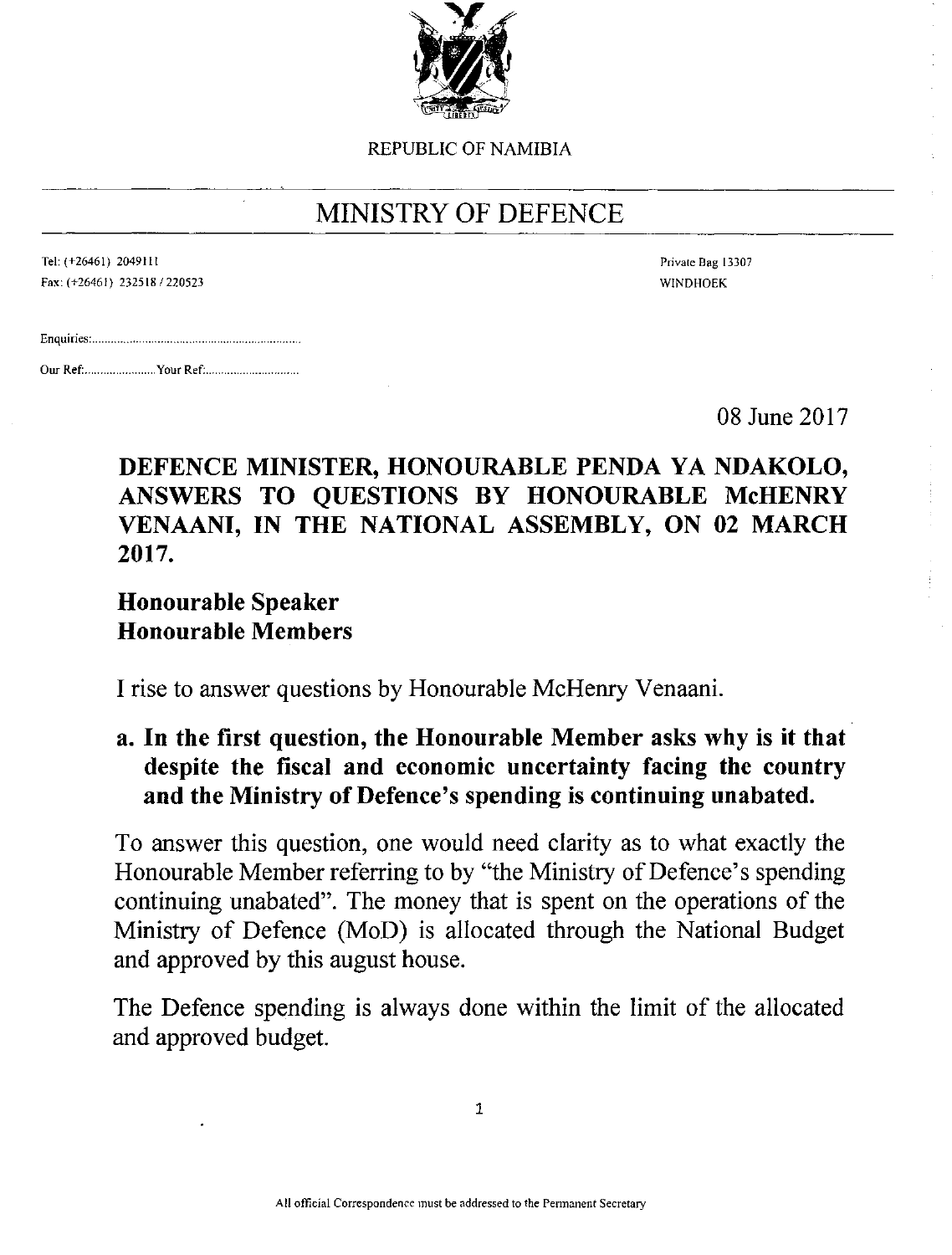

REPUBLIC OF NAMIBIA

# MINISTRY OF DEFENCE

| Tel: (+26461) 2049111 |                               |
|-----------------------|-------------------------------|
|                       | Fax: (+26461) 232518 / 220523 |

Private Bag 13307 WINDHOEK

Our Ref: your Ref .

08 June 2017

### DEFENCE MINISTER, HONOURABLE PENDA YA NDAKOLO, ANSWERS TO QUESTIONS BY HONOURABLE McHENRY VENAANI, IN THE NATIONAL ASSEMBLY, ON 02 MARCH 2017.

## Honourable Speaker Honourable Members

I rise to answer questions by Honourable McHenry Venaani.

### a. In the first question, the Honourable Member asks why is it that despite the fiscal and economic uncertainty facing the country and the Ministry of Defence's spending is continuing unabated.

To answer this question, one would need clarity as to what exactly the Honourable Member referring to by "the Ministry of Defence's spending continuing unabated". The money that is spent on the operations of the Ministry of Defence (MoD) is allocated through the National Budget and approved by this august house.

The Defence spending is always done within the limit of the allocated and approved budget.

1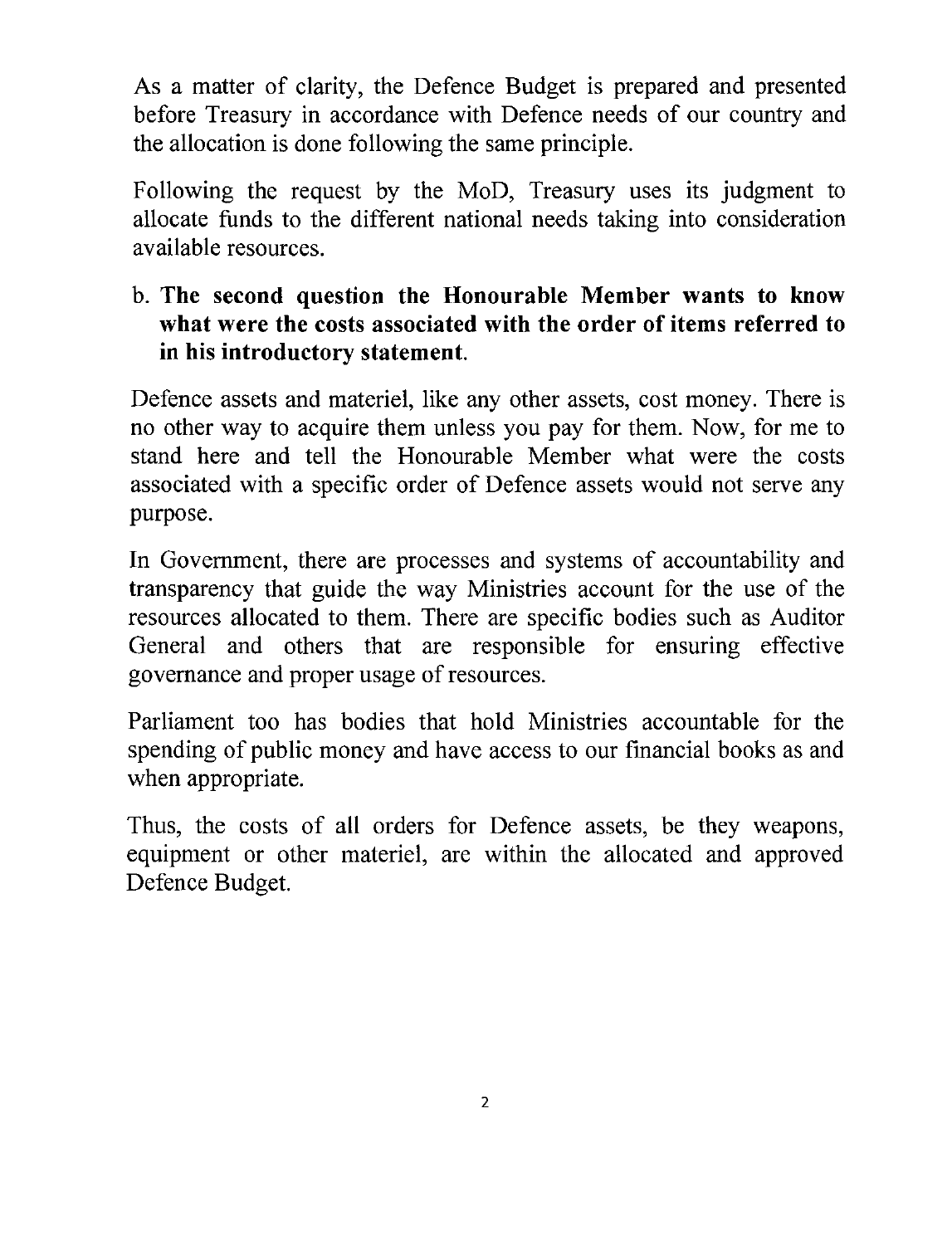As a matter of clarity, the Defence Budget is prepared and presented before Treasury in accordance with Defence needs of our country and the allocation is done following the same principle.

Following the request by the MoD, Treasury uses its judgment to allocate funds to the different national needs taking into consideration available resources.

#### b. The second question the Honourable Member wants to know what were the costs associated with the order of items referred to in his introductory statement.

Defence assets and materiel, like any other assets, cost money. There is no other way to acquire them unless you pay for them. Now, for me to stand here and tell the Honourable Member what were the costs associated with a specific order of Defence assets would not serve any purpose.

In Government, there are processes and systems of accountability and transparency that guide the way Ministries account for the use of the resources allocated to them. There are specific bodies such as Auditor General and others that are responsible for ensuring effective governance and proper usage of resources.

Parliament too has bodies that hold Ministries accountable for the spending of public money and have access to our financial books as and when appropriate.

Thus, the costs of all orders for Defence assets, be they weapons, equipment or other materiel, are within the allocated and approved Defence Budget.